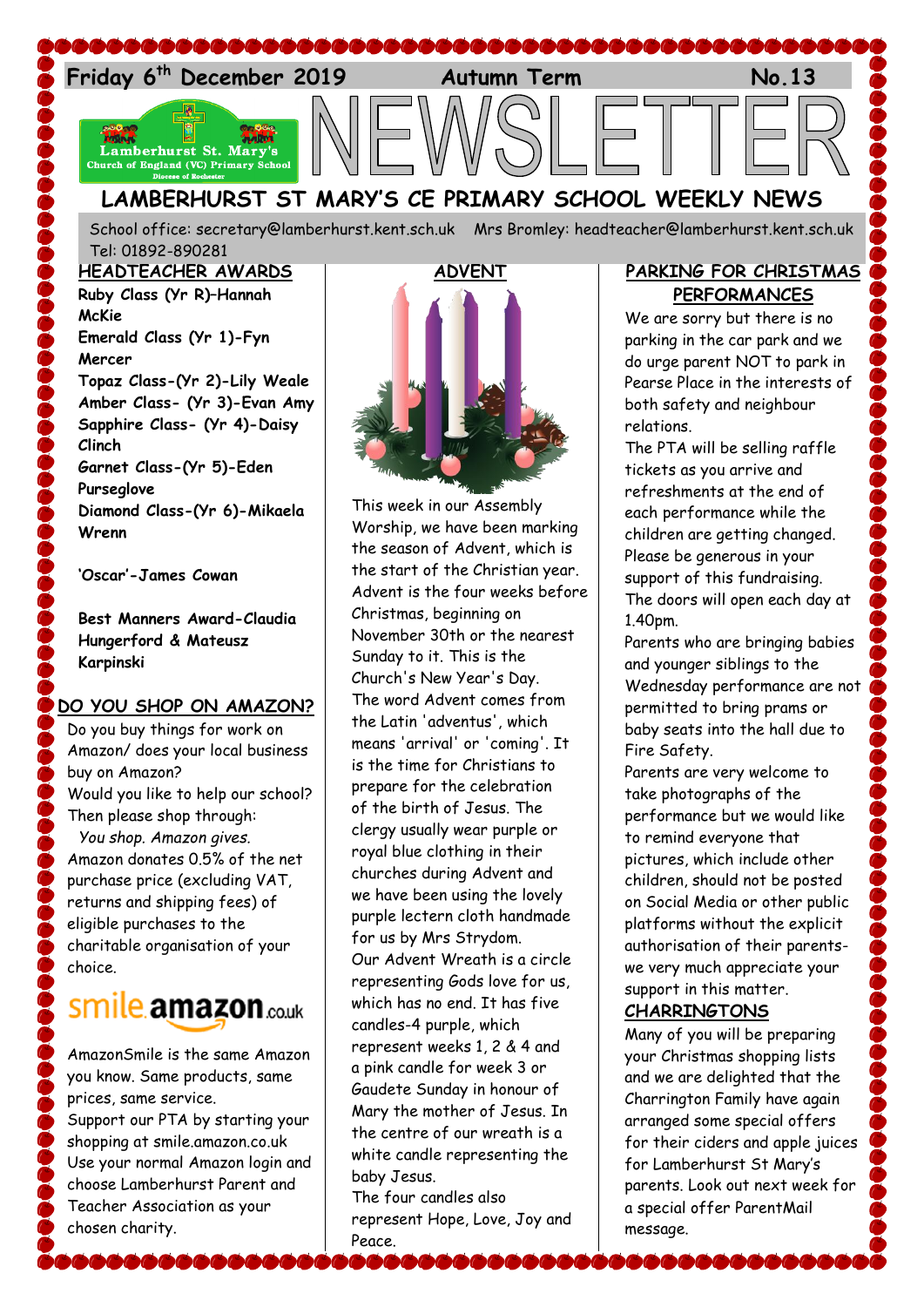

School office: [secretary@lamberhurst.kent.sch.uk](mailto:secretary@lamberhurst.kent.sch.uk) Mrs Bromley: headteacher@lamberhurst.kent.sch.uk Tel: 01892-890281

#### **HEADTEACHER AWARDS**

**Ruby Class (Yr R)–Hannah McKie Emerald Class (Yr 1)-Fyn Mercer Topaz Class-(Yr 2)-Lily Weale Amber Class- (Yr 3)-Evan Amy Sapphire Class- (Yr 4)-Daisy Clinch Garnet Class-(Yr 5)-Eden Purseglove Diamond Class-(Yr 6)-Mikaela Wrenn**

**'Oscar'-James Cowan**

**Best Manners Award-Claudia Hungerford & Mateusz Karpinski**

#### **DO YOU SHOP ON AMAZON?**

Do you buy things for work on Amazon/ does your local business buy on Amazon? Would you like to help our school? Then please shop through: *You shop. Amazon gives.* Amazon donates 0.5% of the net purchase price (excluding VAT, returns and shipping fees) of eligible purchases to the charitable organisation of your choice.

# Smile amazon.co.uk

AmazonSmile is the same Amazon you know. Same products, same prices, same service. Support our PTA by starting your shopping at smile.amazon.co.uk Use your normal Amazon login and choose Lamberhurst Parent and Teacher Association as your chosen charity.

**PACK COM** 



This week in our Assembly Worship, we have been marking the season of Advent, which is the start of the Christian year. Advent is the four weeks before Christmas, beginning on November 30th or the nearest Sunday to it. This is the Church's New Year's Day. The word Advent comes from the Latin 'adventus', which means 'arrival' or 'coming'. It is the time for Christians to prepare for the celebration of the birth of Jesus. The clergy usually wear purple or royal blue clothing in their churches during Advent and we have been using the lovely purple lectern cloth handmade for us by Mrs Strydom. Our Advent Wreath is a circle representing Gods love for us, which has no end. It has five candles-4 purple, which represent weeks 1, 2 & 4 and a pink candle for week 3 or Gaudete Sunday in honour of Mary the mother of Jesus. In the centre of our wreath is a white candle representing the baby Jesus.

The four candles also represent Hope, Love, Joy and Peace.

### **PARKING FOR CHRISTMAS PERFORMANCES**

We are sorry but there is no parking in the car park and we do urge parent NOT to park in Pearse Place in the interests of both safety and neighbour relations.

The PTA will be selling raffle tickets as you arrive and refreshments at the end of each performance while the children are getting changed. Please be generous in your support of this fundraising. The doors will open each day at 1.40pm.

Parents who are bringing babies and younger siblings to the Wednesday performance are not permitted to bring prams or baby seats into the hall due to Fire Safety.

Parents are very welcome to take photographs of the performance but we would like to remind everyone that pictures, which include other children, should not be posted on Social Media or other public platforms without the explicit authorisation of their parentswe very much appreciate your support in this matter.

## **CHARRINGTONS**

Many of you will be preparing your Christmas shopping lists and we are delighted that the Charrington Family have again arranged some special offers for their ciders and apple juices for Lamberhurst St Mary's parents. Look out next week for a special offer ParentMail message.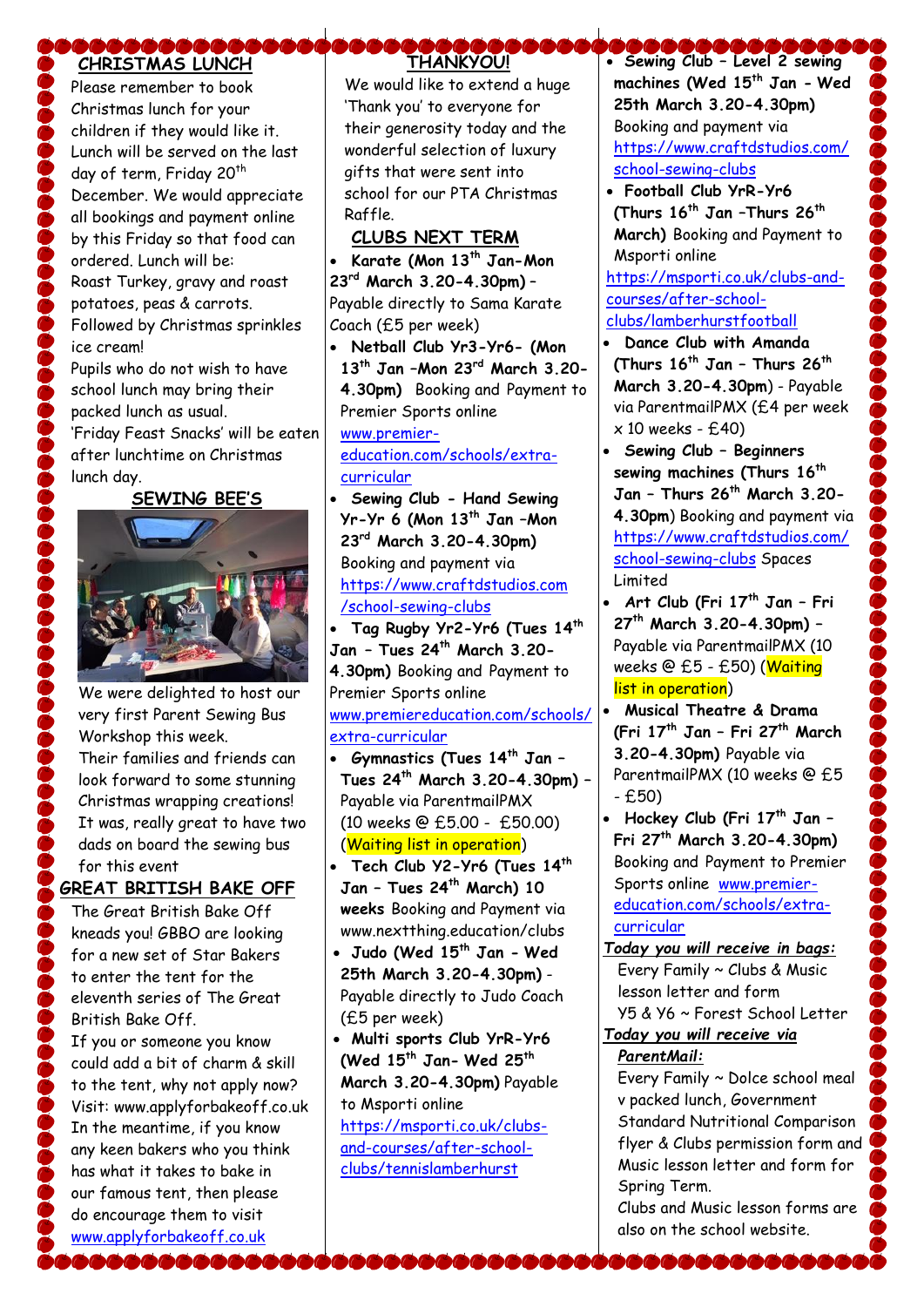# **CHRISTMAS LUNCH**

Please remember to book Christmas lunch for your children if they would like it. Lunch will be served on the last day of term, Friday 20<sup>th</sup> December. We would appreciate all bookings and payment online by this Friday so that food can ordered. Lunch will be: Roast Turkey, gravy and roast potatoes, peas & carrots. Followed by Christmas sprinkles ice cream! Pupils who do not wish to have school lunch may bring their

packed lunch as usual. 'Friday Feast Snacks' will be eaten after lunchtime on Christmas lunch day.

#### **SEWING BEE'S**



We were delighted to host our very first Parent Sewing Bus Workshop this week. Their families and friends can look forward to some stunning Christmas wrapping creations! It was, really great to have two dads on board the sewing bus for this event

#### **GREAT BRITISH BAKE OFF**

The Great British Bake Off kneads you! GBBO are looking for a new set of Star Bakers to enter the tent for the eleventh series of The Great British Bake Off.

If you or someone you know could add a bit of charm & skill to the tent, why not apply now? Visit: www.applyforbakeoff.co.uk In the meantime, if you know any keen bakers who you think has what it takes to bake in our famous tent, then please do encourage them to visit [www.applyforbakeoff.co.uk](http://www.applyforbakeoff.co.uk/)

## **THANKYOU!**

We would like to extend a huge 'Thank you' to everyone for their generosity today and the wonderful selection of luxury gifts that were sent into school for our PTA Christmas Raffle.

#### **CLUBS NEXT TERM**

 **Karate (Mon 13th Jan-Mon 23rd March 3.20-4.30pm)** – Payable directly to Sama Karate Coach (£5 per week)

 **Netball Club Yr3-Yr6- (Mon 13th Jan –Mon 23rd March 3.20- 4.30pm)** Booking and Payment to Premier Sports online

## [www.premier-](http://www.premier-education.com/schools/extra-curricular)

[education.com/schools/extra](http://www.premier-education.com/schools/extra-curricular)[curricular](http://www.premier-education.com/schools/extra-curricular)

 **Sewing Club - Hand Sewing Yr-Yr 6 (Mon 13th Jan –Mon 23rd March 3.20-4.30pm)**  Booking and payment via [https://www.craftdstudios.com](https://www.craftdstudios.com/school-sewing-clubs) [/school-sewing-clubs](https://www.craftdstudios.com/school-sewing-clubs)

 **Tag Rugby Yr2-Yr6 (Tues 14th Jan – Tues 24th March 3.20- 4.30pm)** Booking and Payment to Premier Sports online [www.premiereducation.com/schools/](http://www.premiereducation.com/schools/extra-curricular) [extra-curricular](http://www.premiereducation.com/schools/extra-curricular)

- **Gymnastics (Tues 14th Jan – Tues 24th March 3.20-4.30pm) –** Payable via ParentmailPMX (10 weeks @ £5.00 - £50.00) (Waiting list in operation)
- **Tech Club Y2-Yr6 (Tues 14th Jan – Tues 24th March) 10 weeks** Booking and Payment via www.nextthing.education/clubs
- **Judo (Wed 15th Jan - Wed 25th March 3.20-4.30pm)** - Payable directly to Judo Coach (£5 per week)
- **Multi sports Club YrR-Yr6 (Wed 15th Jan- Wed 25th March 3.20-4.30pm)** Payable to Msporti online

[https://msporti.co.uk/clubs](https://msporti.co.uk/clubs-and-courses/after-school-clubs/tennislamberhurst)[and-courses/after-school](https://msporti.co.uk/clubs-and-courses/after-school-clubs/tennislamberhurst)[clubs/tennislamberhurst](https://msporti.co.uk/clubs-and-courses/after-school-clubs/tennislamberhurst)

 **Sewing Club – Level 2 sewing machines (Wed 15th Jan - Wed 25th March 3.20-4.30pm)** Booking and payment via [https://www.craftdstudios.com/](https://www.craftdstudios.com/school-sewing-clubs) [school-sewing-clubs](https://www.craftdstudios.com/school-sewing-clubs)

- **Football Club YrR-Yr6 (Thurs 16th Jan –Thurs 26th March)** Booking and Payment to Msporti online [https://msporti.co.uk/clubs-and](https://msporti.co.uk/clubs-and-courses/after-school-clubs/lamberhurstfootball)[courses/after-school](https://msporti.co.uk/clubs-and-courses/after-school-clubs/lamberhurstfootball)[clubs/lamberhurstfootball](https://msporti.co.uk/clubs-and-courses/after-school-clubs/lamberhurstfootball)
- **Dance Club with Amanda (Thurs 16th Jan – Thurs 26th March 3.20-4.30pm**) - Payable via ParentmailPMX (£4 per week  $\times$  10 weeks -  $f$ . 40)
- **Sewing Club – Beginners sewing machines (Thurs 16th Jan – Thurs 26th March 3.20- 4.30pm**) Booking and payment via [https://www.craftdstudios.com/](https://www.craftdstudios.com/school-sewing-clubs) [school-sewing-clubs](https://www.craftdstudios.com/school-sewing-clubs) Spaces Limited
- **Art Club (Fri 17th Jan – Fri 27th March 3.20-4.30pm) –** Payable via ParentmailPMX (10 weeks @ £5 - £50) (Waiting list in operation)
- **Musical Theatre & Drama (Fri 17th Jan – Fri 27th March 3.20-4.30pm)** Payable via ParentmailPMX (10 weeks @ £5 - £50)
- **Hockey Club (Fri 17th Jan – Fri 27th March 3.20-4.30pm)**  Booking and Payment to Premier Sports online [www.premier](http://www.premier-education.com/schools/extra-curricular)[education.com/schools/extra](http://www.premier-education.com/schools/extra-curricular)[curricular](http://www.premier-education.com/schools/extra-curricular)
- *Today you will receive in bags:* Every Family ~ Clubs & Music lesson letter and form Y5 & Y6 ~ Forest School Letter

## *Today you will receive via ParentMail:*

Every Family ~ Dolce school meal v packed lunch, Government Standard Nutritional Comparison flyer & Clubs permission form and Music lesson letter and form for Spring Term.

Clubs and Music lesson forms are also on the school website.